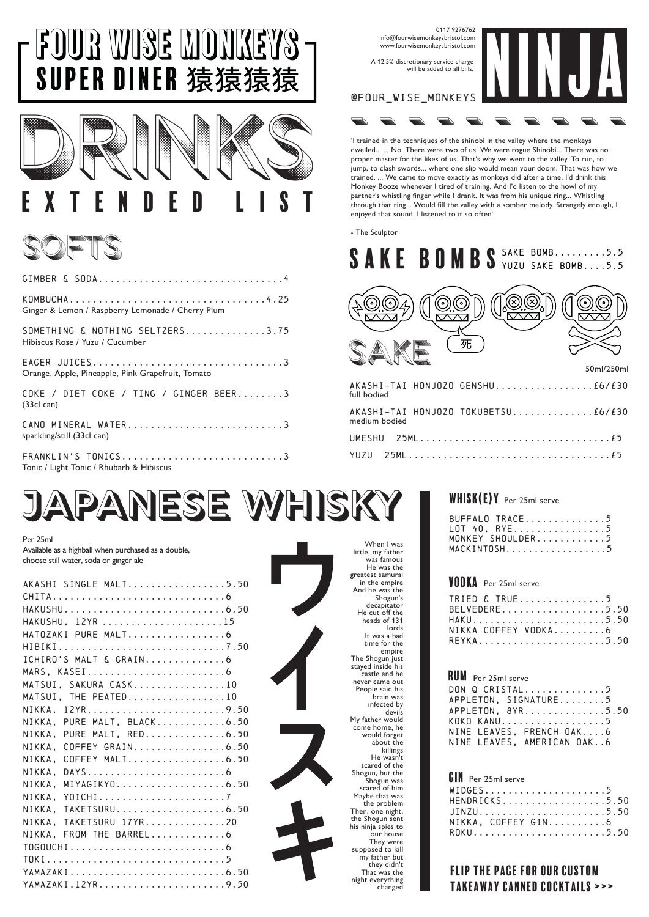

# nese whisky

Per 25ml

Available as a highball when purchased as a double, choose still water, soda or ginger ale

| AKASHI SINGLE MALT5.50      |  |
|-----------------------------|--|
| CHITA6                      |  |
| HAKUSHU6.50                 |  |
| HAKUSHU, 12YR 15            |  |
| HATOZAKI PURE MALT6         |  |
| HIBIKI7.50                  |  |
| ICHIRO'S MALT & GRAIN6      |  |
|                             |  |
| MATSUI, SAKURA CASK10       |  |
| MATSUI, THE PEATED10        |  |
| NIKKA, 12YR9.50             |  |
| NIKKA, PURE MALT, BLACK6.50 |  |
| NIKKA, PURE MALT, RED6.50   |  |
| NIKKA, COFFEY GRAIN6.50     |  |
| NIKKA, COFFEY MALT6.50      |  |
| NIKKA, DAYS6                |  |
| NIKKA, MIYAGIKYO6.50        |  |
| NIKKA, YOICHI7              |  |
| NIKKA, TAKETSURU6.50        |  |
| NIKKA, TAKETSURU 17YR20     |  |
| NIKKA, FROM THE BARREL6     |  |
| TOGOUCHI6                   |  |
| TOKI5                       |  |
|                             |  |
| YAMAZAKI, 12YR9.50          |  |
|                             |  |

When I was little, my father was famous He was the greatest samurai in the empire And he was the Shogun's decapitator He cut off the heads of 131 **lords** It was a bad time for the empire The Shogun just stayed inside his castle and he never came out People said his brain was infected by devils My father would come home, he would forget about the killings He wasn't scared of the Shogun, but the Shogun was scared of him Maybe that was the problem Then, one night, the Shogun sent his ninja spies to our house They were supposed to kill my father but they didn't That was the night everything changed

#### WHISK(E)Y Per 25ml serve

| BUFFALO TRACE5   |
|------------------|
| LOT 40. RYE5     |
| MONKEY SHOULDER5 |
| $MACKINTOSH.$ 5  |

#### VODKA Per 25ml serve

| TRIED & TRUE5       |  |  |  |
|---------------------|--|--|--|
| BELVEDERE5.50       |  |  |  |
| HAKU5.50            |  |  |  |
| NIKKA COFFEY VODKA6 |  |  |  |
| REYKA5.50           |  |  |  |

| <b>RUM</b> Per 25ml serve  |  |
|----------------------------|--|
| DON Q CRISTAL5             |  |
| APPLETON, SIGNATURE5       |  |
| APPLETON, 8YR5.50          |  |
| KOKO KANU5                 |  |
| NINE LEAVES, FRENCH OAK6   |  |
| NINE LEAVES, AMERICAN OAK6 |  |

| GIN Per 25ml serve |  |
|--------------------|--|
| $WIDGES. 5$        |  |
| HENDRICKS5.50      |  |
| JINZU5.50          |  |
| NIKKA. COFFEY GIN6 |  |
| ROKU5.50           |  |
|                    |  |

## FLIP THE PAGE FOR OUR CUSTOM TAKEAWAY CANNED COCKTAILS >>>